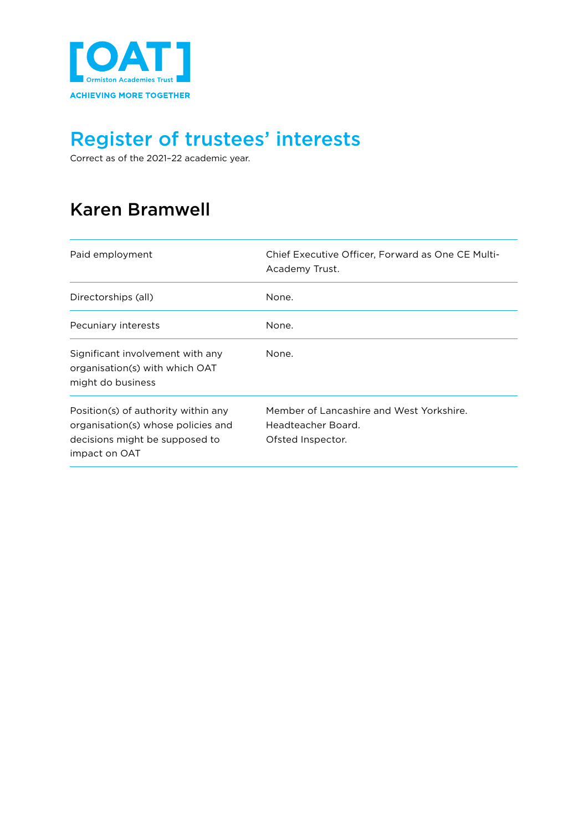

Correct as of the 2021–22 academic year.

### Karen Bramwell

| Paid employment                                                                                                              | Chief Executive Officer. Forward as One CE Multi-<br>Academy Trust.                 |
|------------------------------------------------------------------------------------------------------------------------------|-------------------------------------------------------------------------------------|
| Directorships (all)                                                                                                          | None.                                                                               |
| Pecuniary interests                                                                                                          | None.                                                                               |
| Significant involvement with any<br>organisation(s) with which OAT<br>might do business                                      | None.                                                                               |
| Position(s) of authority within any<br>organisation(s) whose policies and<br>decisions might be supposed to<br>impact on OAT | Member of Lancashire and West Yorkshire.<br>Headteacher Board.<br>Ofsted Inspector. |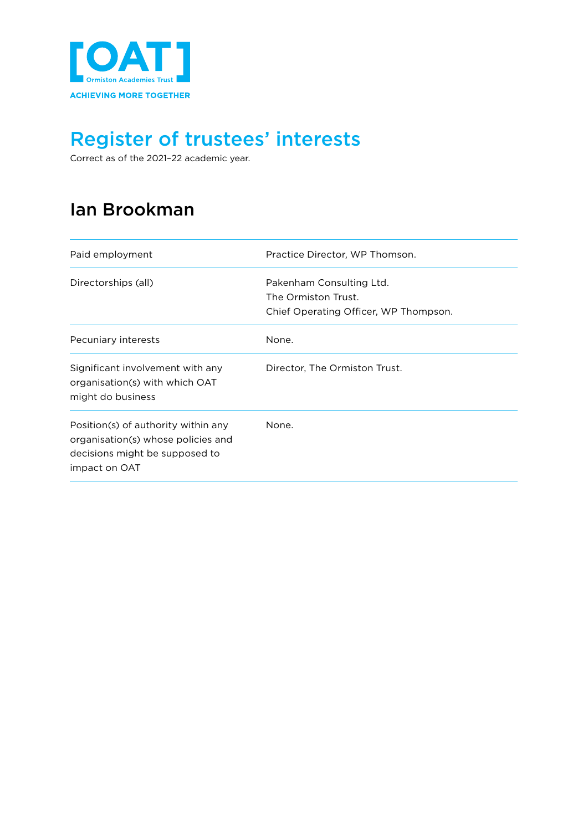

Correct as of the 2021–22 academic year.

#### Ian Brookman

| Paid employment                                                                                                              | Practice Director, WP Thomson.                                                           |
|------------------------------------------------------------------------------------------------------------------------------|------------------------------------------------------------------------------------------|
| Directorships (all)                                                                                                          | Pakenham Consulting Ltd.<br>The Ormiston Trust.<br>Chief Operating Officer, WP Thompson. |
| Pecuniary interests                                                                                                          | None.                                                                                    |
| Significant involvement with any<br>organisation(s) with which OAT<br>might do business                                      | Director, The Ormiston Trust.                                                            |
| Position(s) of authority within any<br>organisation(s) whose policies and<br>decisions might be supposed to<br>impact on OAT | None.                                                                                    |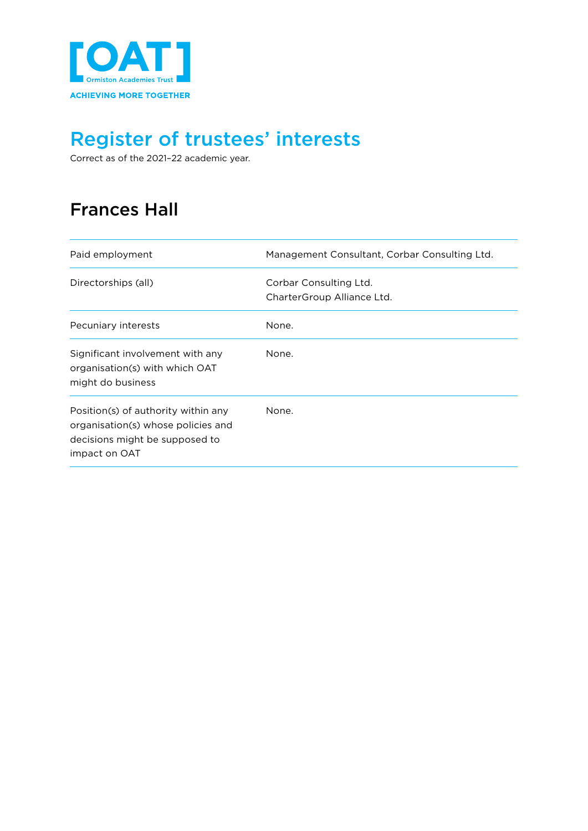

Correct as of the 2021–22 academic year.

### Frances Hall

| Paid employment                                                                                                              | Management Consultant, Corbar Consulting Ltd.        |
|------------------------------------------------------------------------------------------------------------------------------|------------------------------------------------------|
| Directorships (all)                                                                                                          | Corbar Consulting Ltd.<br>CharterGroup Alliance Ltd. |
| Pecuniary interests                                                                                                          | None.                                                |
| Significant involvement with any<br>organisation(s) with which OAT<br>might do business                                      | None.                                                |
| Position(s) of authority within any<br>organisation(s) whose policies and<br>decisions might be supposed to<br>impact on OAT | None.                                                |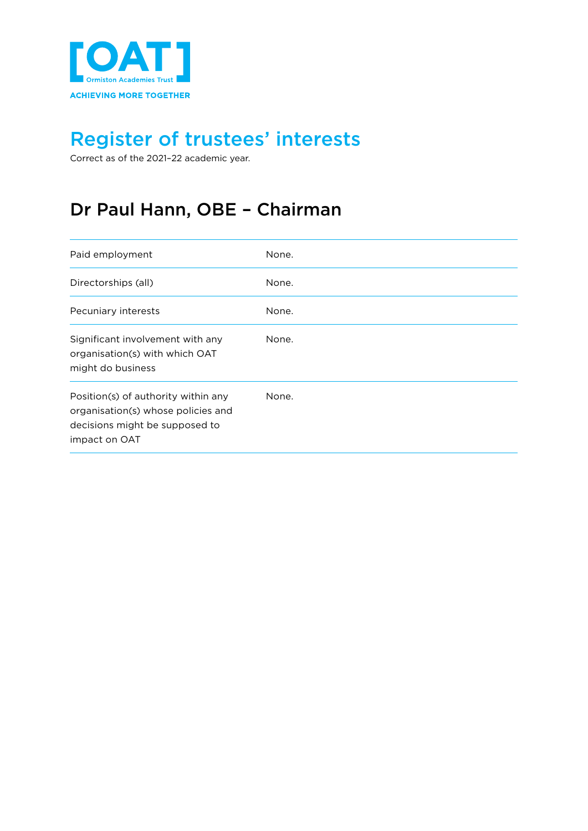

Correct as of the 2021–22 academic year.

### Dr Paul Hann, OBE – Chairman

| Paid employment                                                                                                              | None. |
|------------------------------------------------------------------------------------------------------------------------------|-------|
| Directorships (all)                                                                                                          | None. |
| Pecuniary interests                                                                                                          | None. |
| Significant involvement with any<br>organisation(s) with which OAT<br>might do business                                      | None. |
| Position(s) of authority within any<br>organisation(s) whose policies and<br>decisions might be supposed to<br>impact on OAT | None. |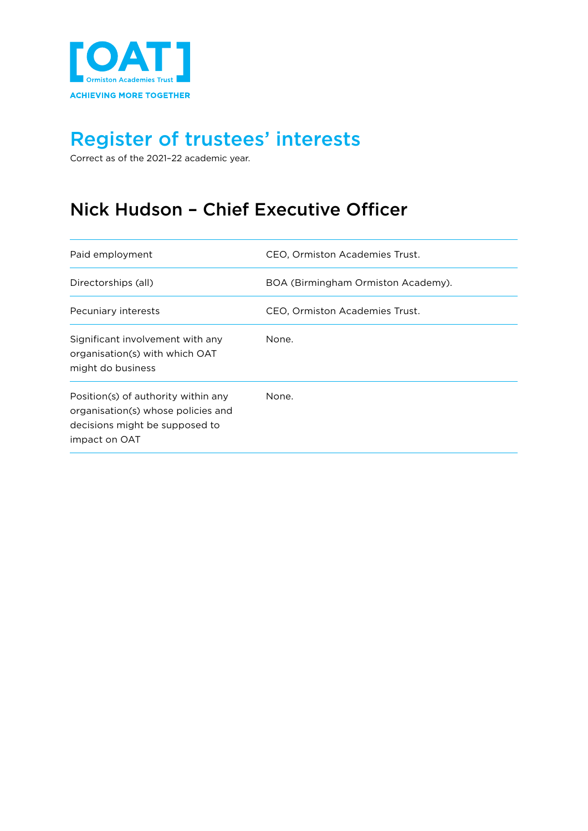

Correct as of the 2021–22 academic year.

### Nick Hudson – Chief Executive Officer

| Paid employment                                                                                                              | CEO, Ormiston Academies Trust.     |
|------------------------------------------------------------------------------------------------------------------------------|------------------------------------|
| Directorships (all)                                                                                                          | BOA (Birmingham Ormiston Academy). |
| Pecuniary interests                                                                                                          | CEO. Ormiston Academies Trust.     |
| Significant involvement with any<br>organisation(s) with which OAT<br>might do business                                      | None.                              |
| Position(s) of authority within any<br>organisation(s) whose policies and<br>decisions might be supposed to<br>impact on OAT | None.                              |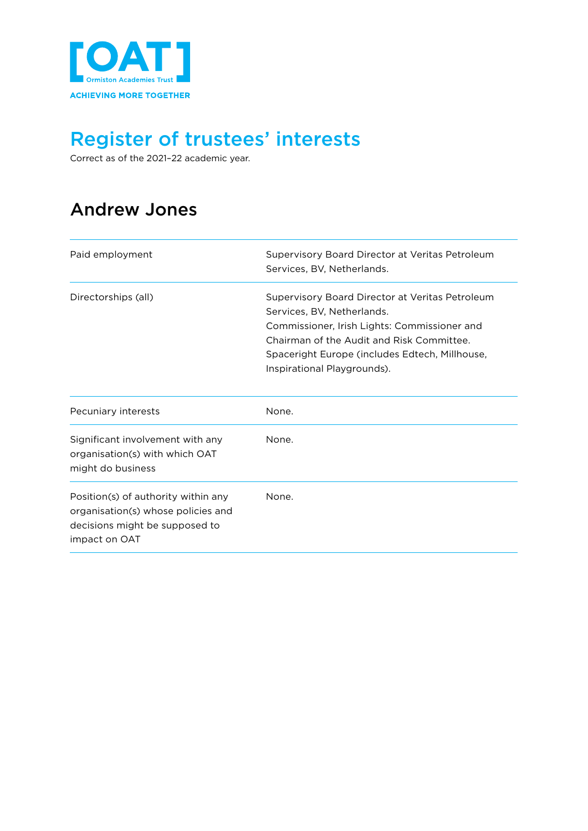

Correct as of the 2021–22 academic year.

### Andrew Jones

| Paid employment                                                                                                              | Supervisory Board Director at Veritas Petroleum<br>Services, BV, Netherlands.                                                                                                                                                                               |
|------------------------------------------------------------------------------------------------------------------------------|-------------------------------------------------------------------------------------------------------------------------------------------------------------------------------------------------------------------------------------------------------------|
| Directorships (all)                                                                                                          | Supervisory Board Director at Veritas Petroleum<br>Services, BV, Netherlands,<br>Commissioner, Irish Lights: Commissioner and<br>Chairman of the Audit and Risk Committee.<br>Spaceright Europe (includes Edtech, Millhouse,<br>Inspirational Playgrounds). |
| Pecuniary interests                                                                                                          | None.                                                                                                                                                                                                                                                       |
| Significant involvement with any<br>organisation(s) with which OAT<br>might do business                                      | None.                                                                                                                                                                                                                                                       |
| Position(s) of authority within any<br>organisation(s) whose policies and<br>decisions might be supposed to<br>impact on OAT | None.                                                                                                                                                                                                                                                       |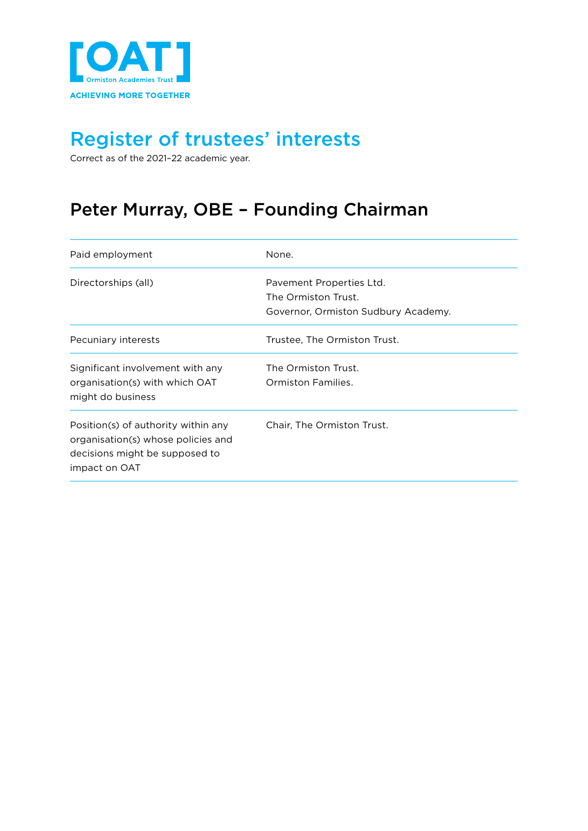

Correct as of the 2021–22 academic year.

### Peter Murray, OBE – Founding Chairman

| Paid employment                                                                                                              | None.                                                                                  |
|------------------------------------------------------------------------------------------------------------------------------|----------------------------------------------------------------------------------------|
| Directorships (all)                                                                                                          | Pavement Properties Ltd.<br>The Ormiston Trust.<br>Governor, Ormiston Sudbury Academy. |
| Pecuniary interests                                                                                                          | Trustee, The Ormiston Trust.                                                           |
| Significant involvement with any<br>organisation(s) with which OAT<br>might do business                                      | The Ormiston Trust.<br>Ormiston Families.                                              |
| Position(s) of authority within any<br>organisation(s) whose policies and<br>decisions might be supposed to<br>impact on OAT | Chair, The Ormiston Trust.                                                             |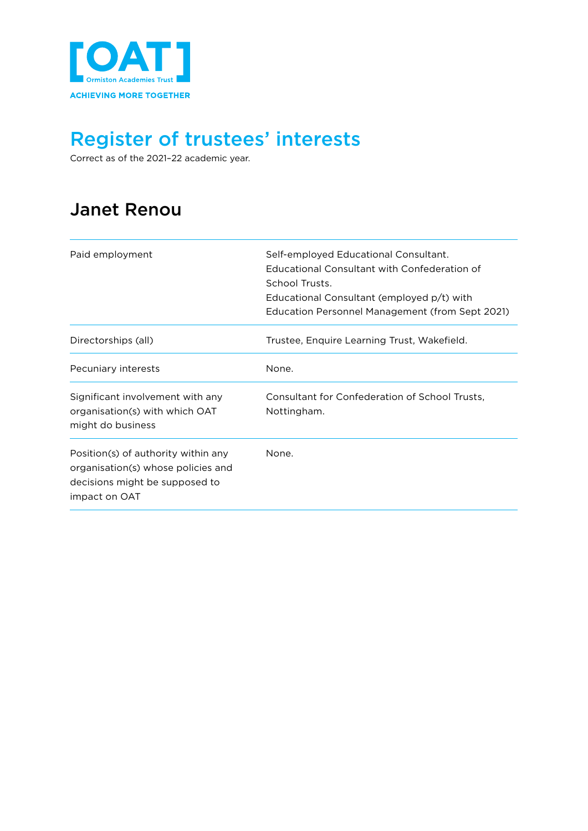

Correct as of the 2021–22 academic year.

### Janet Renou

| Paid employment                                                                                                              | Self-employed Educational Consultant.<br>Educational Consultant with Confederation of<br>School Trusts.<br>Educational Consultant (employed p/t) with<br>Education Personnel Management (from Sept 2021) |
|------------------------------------------------------------------------------------------------------------------------------|----------------------------------------------------------------------------------------------------------------------------------------------------------------------------------------------------------|
| Directorships (all)                                                                                                          | Trustee, Enquire Learning Trust, Wakefield.                                                                                                                                                              |
| Pecuniary interests                                                                                                          | None.                                                                                                                                                                                                    |
| Significant involvement with any<br>organisation(s) with which OAT<br>might do business                                      | Consultant for Confederation of School Trusts,<br>Nottingham.                                                                                                                                            |
| Position(s) of authority within any<br>organisation(s) whose policies and<br>decisions might be supposed to<br>impact on OAT | None.                                                                                                                                                                                                    |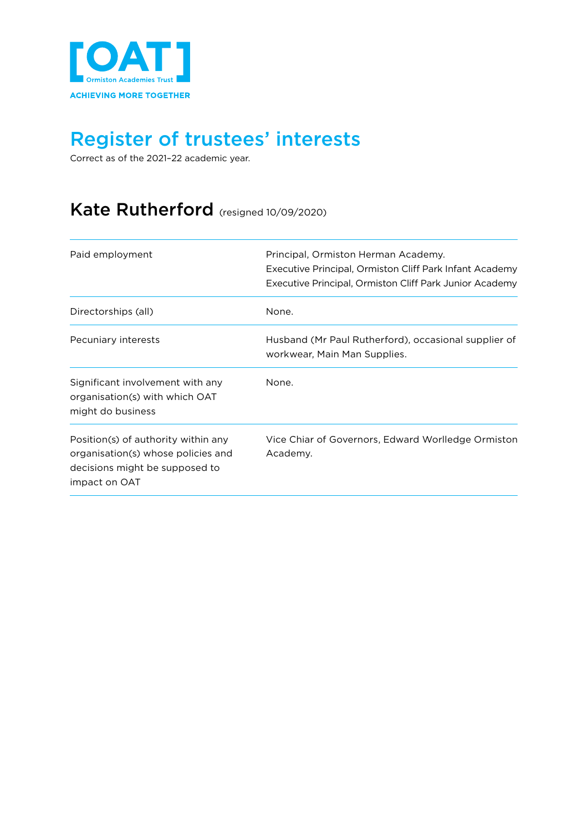

Correct as of the 2021–22 academic year.

#### Kate Rutherford (resigned 10/09/2020)

| Paid employment                                                                                                              | Principal, Ormiston Herman Academy.<br>Executive Principal, Ormiston Cliff Park Infant Academy<br>Executive Principal, Ormiston Cliff Park Junior Academy |
|------------------------------------------------------------------------------------------------------------------------------|-----------------------------------------------------------------------------------------------------------------------------------------------------------|
| Directorships (all)                                                                                                          | None.                                                                                                                                                     |
| Pecuniary interests                                                                                                          | Husband (Mr Paul Rutherford), occasional supplier of<br>workwear, Main Man Supplies.                                                                      |
| Significant involvement with any<br>organisation(s) with which OAT<br>might do business                                      | None.                                                                                                                                                     |
| Position(s) of authority within any<br>organisation(s) whose policies and<br>decisions might be supposed to<br>impact on OAT | Vice Chiar of Governors, Edward Worlledge Ormiston<br>Academy.                                                                                            |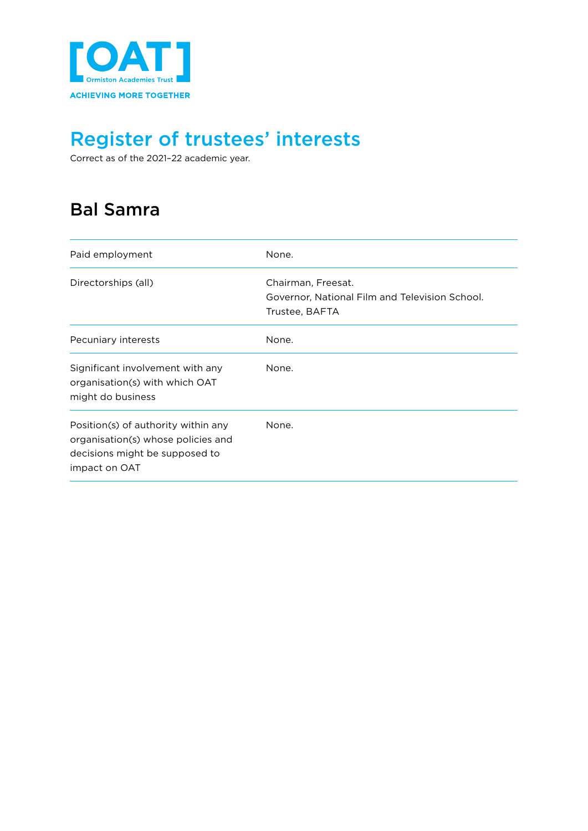

Correct as of the 2021–22 academic year.

### Bal Samra

| Paid employment                                                                                                              | None.                                                                                  |
|------------------------------------------------------------------------------------------------------------------------------|----------------------------------------------------------------------------------------|
| Directorships (all)                                                                                                          | Chairman, Freesat.<br>Governor, National Film and Television School.<br>Trustee, BAFTA |
| Pecuniary interests                                                                                                          | None.                                                                                  |
| Significant involvement with any<br>organisation(s) with which OAT<br>might do business                                      | None.                                                                                  |
| Position(s) of authority within any<br>organisation(s) whose policies and<br>decisions might be supposed to<br>impact on OAT | None.                                                                                  |